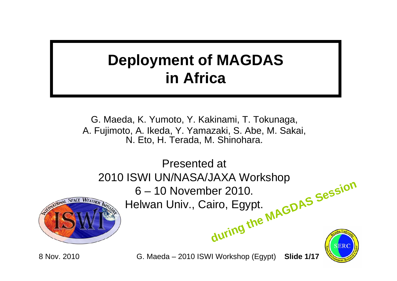## **Deployment of MAGDAS in Africa**

G. Maeda, K. Yumoto, Y. Kakinami, T. Tokunaga, A. Fujimoto, A. Ikeda, Y. Yamazaki, S. Abe, M. Sakai, N. Eto, H. Terada, M. Shinohara.



8 Nov. 2010 G. Maeda – 2010 ISWI Workshop (Egypt) **Slide 1/17**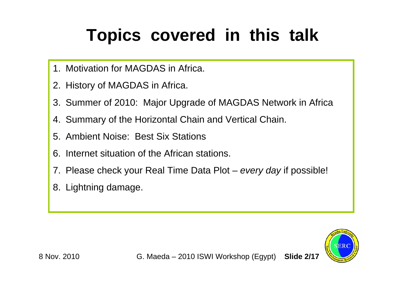## **Topics covered in this talk**

- 1. Motivation for MAGDAS in Africa.
- 2. History of MAGDAS in Africa.
- 3. Summer of 2010: Major Upgrade of MAGDAS Network in Africa
- 4. Summary of the Horizontal Chain and Vertical Chain.
- 5. Ambient Noise: Best Six Stations
- 6. Internet situation of the African stations.
- 7. Please check your Real Time Data Plot *every day* if possible!
- 8. Lightning damage.

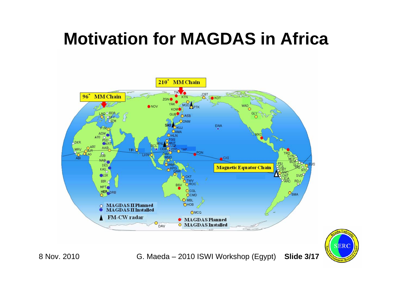## **Motivation for MAGDAS in Africa**



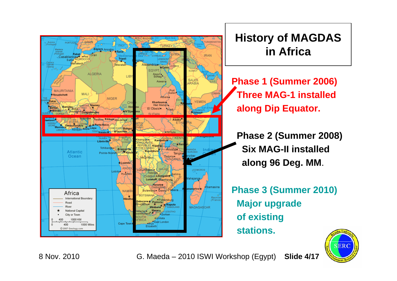

### **History of MAGDAS in Africa**

**Phase 1 (Summer 2006) Three MAG-1 installed along Dip Equator.**

**Phase 2 (Summer 2008) Six MAG-II installedalong 96 Deg. MM**.

**Phase 3 (Summer 2010) Major upgrade of existing stations.**

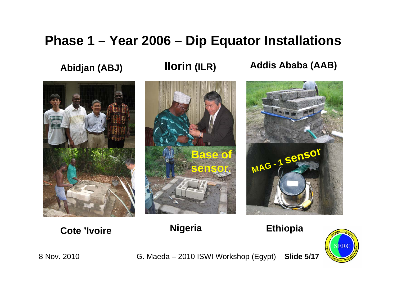### **Phase 1 – Year 2006 – Dip Equator Installations**

**Abidjan (ABJ) Ilorin (ILR) Addis Ababa (AAB)**



**Cote 'Ivoire**





**Nigeria Ethiopia**



8 Nov. 2010 G. Maeda – 2010 ISWI Workshop (Egypt) **Slide 5/17**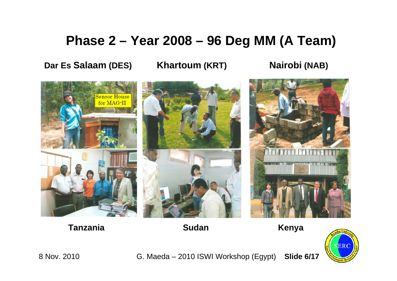### **Phase 2 – Year 2008 – 96 Deg MM (A Team)**

**Dar Es Salaam**

**(DES) Khartoum (KRT) Nairobi (NAB)**



**Tanzania Kenya Sudan**



8 Nov. 2010 G. Maeda – 2010 ISWI Workshop (Egypt) **Slide 6/17**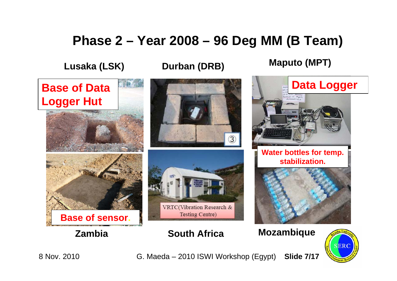### **Phase 2 – Year 2008 – 96 Deg MM (B Team)**

**Lusaka (LSK)**

**Durban (DRB)**

**Maputo (MPT)**





8 Nov. 2010 G. Maeda – 2010 ISWI Workshop (Egypt) **Slide 7/17**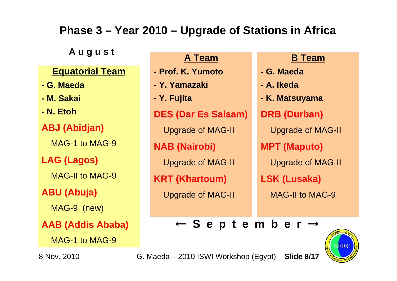### **Phase 3 – Year 2010 – Upgrade of Stations in Africa**

**A u g u s t**

#### **Equatorial Team**

- **- G. Maeda**
- **- M. Sakai**
- **- N. Etoh**

**ABJ (Abidjan)**

MAG-1 to MAG-9

**LAG (Lagos)**

MAG-II to MAG-9

**ABU (Abuja)**

MAG-9 (new)

**AAB (Addis Ababa)**

MAG-1 to MAG-9

**A Team** 

- **- Prof. K. Yumoto**
- **- Y. Yamazaki**
- **- Y. Fujita**

**DES (Dar Es Salaam)**

Upgrade of MAG-II

**NAB (Nairobi)**

Upgrade of MAG-II

**KRT (Khartoum)**

Upgrade of MAG-II

#### **B Team**

- **- G. Maeda**
- **- A. Ikeda**
- **- K. Matsuyama**

**DRB (Durban)**

Upgrade of MAG-II

**MPT (Maputo)**

Upgrade of MAG-II

**LSK (Lusaka)**

MAG-II to MAG-9

← **S e p t e m b e r**  →



8 Nov. 2010 G. Maeda – 2010 ISWI Workshop (Egypt) **Slide 8/17**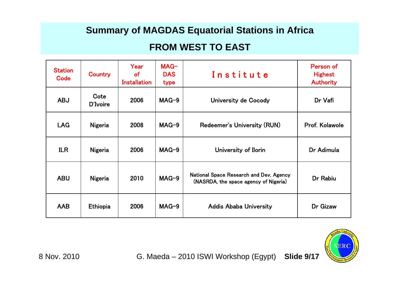#### **Summary of MAGDAS Equatorial Stations in Africa**

#### **FROM WEST TO EAST**

| <b>Station</b><br>Code | Country          | Year<br><b>of</b><br><b>Installation</b> | $MAG-$<br><b>DAS</b><br>type | Institute                                                                        | Person of<br><b>Highest</b><br><b>Authority</b> |
|------------------------|------------------|------------------------------------------|------------------------------|----------------------------------------------------------------------------------|-------------------------------------------------|
| <b>ABJ</b>             | Cote<br>D'Ivoire | 2006                                     | $MAG-9$                      | University de Cocody                                                             | Dr Vafi                                         |
| <b>LAG</b>             | Nigeria          | 2008                                     | $MAG-9$                      | Redeemer's University (RUN)                                                      | Prof. Kolawole                                  |
| <b>ILR</b>             | Nigeria          | 2006                                     | $MAG-9$                      | University of Ilorin                                                             | Dr Adimula                                      |
| <b>ABU</b>             | Nigeria          | 2010                                     | $MAG-9$                      | National Space Research and Dev. Agency<br>(NASRDA, the space agency of Nigeria) | Dr Rabiu                                        |
| <b>AAB</b>             | Ethiopia         | 2006                                     | $MAG-9$                      | <b>Addis Ababa University</b>                                                    | Dr Gizaw                                        |

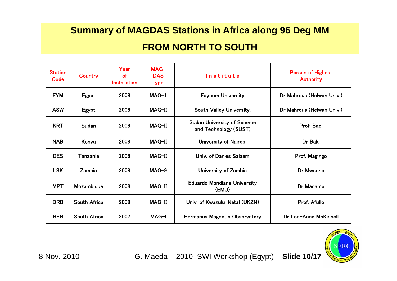### **Summary of MAGDAS Stations in Africa along 96 Deg MM FROM NORTH TO SOUTH**

| <b>Station</b><br>Code | Country      | Year<br>of<br><b>Installation</b> | $MAG-$<br><b>DAS</b><br>type | Institute                                                   | <b>Person of Highest</b><br><b>Authority</b> |
|------------------------|--------------|-----------------------------------|------------------------------|-------------------------------------------------------------|----------------------------------------------|
| <b>FYM</b>             | Egypt        | 2008                              | $MAG-1$                      | <b>Fayoum University</b>                                    | Dr Mahrous (Helwan Univ.)                    |
| <b>ASW</b>             | Egypt        | 2008                              | MAG-II                       | South Valley University.                                    | Dr Mahrous (Helwan Univ.)                    |
| <b>KRT</b>             | Sudan        | 2008                              | $MAG-II$                     | <b>Sudan University of Science</b><br>and Technology (SUST) | Prof. Badi                                   |
| <b>NAB</b>             | Kenya        | 2008                              | $MAG-II$                     | University of Nairobi                                       | Dr Baki                                      |
| <b>DES</b>             | Tanzania     | 2008                              | $MAG-II$                     | Univ. of Dar es Salaam                                      | Prof. Magingo                                |
| <b>LSK</b>             | Zambia       | 2008                              | $MAG-9$                      | University of Zambia                                        | Dr Mweene                                    |
| <b>MPT</b>             | Mozambique   | 2008                              | MAG-II                       | <b>Eduardo Mondlane University</b><br>(EMU)                 | Dr Macamo                                    |
| <b>DRB</b>             | South Africa | 2008                              | MAG-II                       | Univ. of Kwazulu-Natal (UKZN)                               | Prof. Afullo                                 |
| <b>HER</b>             | South Africa | 2007                              | MAG-I                        | <b>Hermanus Magnetic Observatory</b>                        | Dr Lee-Anne McKinnell                        |

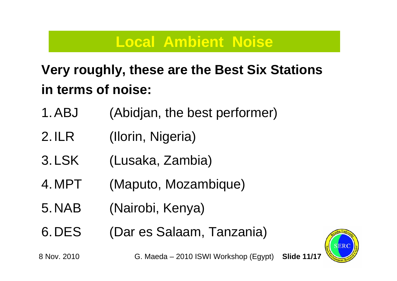## **Local Ambient Noise**

## **Very roughly, these are the Best Six Stations in terms of noise:**

- 1.ABJ (Abidjan, the best performer)
- 2.ILR (Ilorin, Nigeria)
- 3.LSK (Lusaka, Zambia)
- 4.MPT (Maputo, Mozambique)
- 5.NAB (Nairobi, Kenya)
- 6.DES (Dar es Salaam, Tanzania)

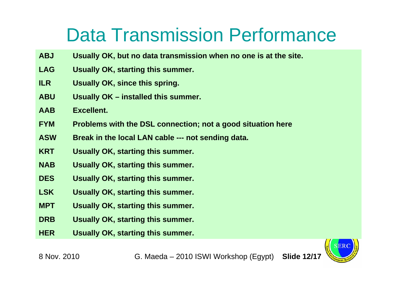## Data Transmission Performance

- **ABJ Usually OK, but no data transmission when no one is at the site.**
- **LAG Usually OK, starting this summer.**
- **ILR Usually OK, since this spring.**
- **ABU Usually OK – installed this summer.**
- **AAB Excellent.**
- **FYM Problems with the DSL connection; not a good situation here**
- **ASW Break in the local LAN cable --- not sending data.**
- **KRT Usually OK, starting this summer.**
- **NAB Usually OK, starting this summer.**
- **DES Usually OK, starting this summer.**
- **LSK Usually OK, starting this summer.**
- **MPT Usually OK, starting this summer.**
- **DRB Usually OK, starting this summer.**
- **HER Usually OK, starting this summer.**

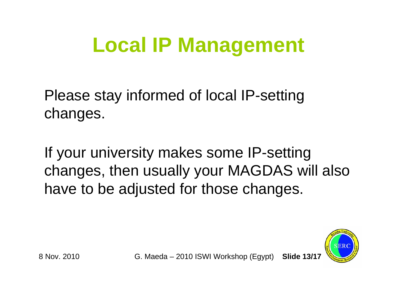# **Local IP Management**

Please stay informed of local IP-setting changes.

If your university makes some IP-setting changes, then usually your MAGDAS will also have to be adjusted for those changes.

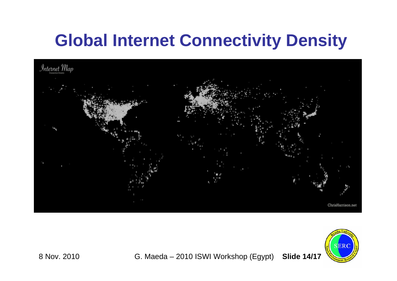## **Global Internet Connectivity Density**





8 Nov. 2010 G. Maeda – 2010 ISWI Workshop (Egypt) **Slide 14/17**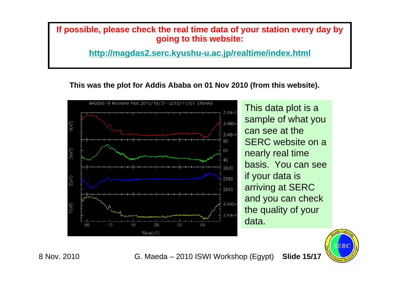**If possible, please check the real time data of your station every day by going to this website:**

**http://magdas2.serc.kyushu-u.ac.jp/realtime/index.html**

**This was the plot for Addis Ababa on 01 Nov 2010 (from this website).**



This data plot is a sample of what you can see at the SERC website on a nearly real time basis. You can see if your data is arriving at SERC and you can check the quality of your data.



8 Nov. 2010 G. Maeda – 2010 ISWI Workshop (Egypt) **Slide 15/17**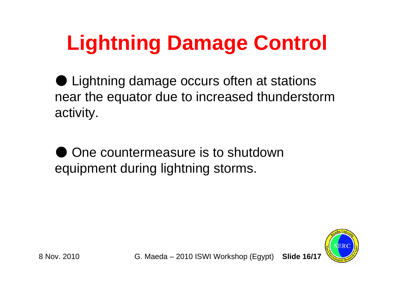# **Lightning Damage Control**

● Lightning damage occurs often at stations near the equator due to increased thunderstorm activity.

One countermeasure is to shutdown equipment during lightning storms.